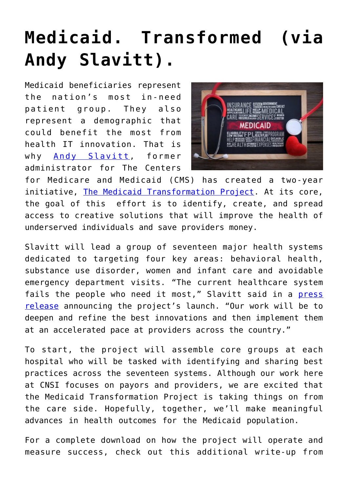## **[Medicaid. Transformed \(via](https://www.cns-inc.com/insights/thought-leadership/medicaid-transformed-via-andy-slavitt/) [Andy Slavitt\).](https://www.cns-inc.com/insights/thought-leadership/medicaid-transformed-via-andy-slavitt/)**

Medicaid beneficiaries represent the nation's most in-need patient group. They also represent a demographic that could benefit the most from health IT innovation. That is why [Andy Slavitt](https://twitter.com/ASlavitt?ref_src=twsrc%5Egoogle%7Ctwcamp%5Eserp%7Ctwgr%5Eauthor), former administrator for The Centers



for Medicare and Medicaid (CMS) has created a two-year initiative, [The Medicaid Transformation Project.](https://www.healthcarefinancenews.com/news/andy-slavitt-and-avia-lead-new-medicaid-transformation-project) At its core, the goal of this effort is to identify, create, and spread access to creative solutions that will improve the health of underserved individuals and save providers money.

Slavitt will lead a group of seventeen major health systems dedicated to targeting four key areas: behavioral health, substance use disorder, women and infant care and avoidable emergency department visits. "The current healthcare system fails the people who need it most," Slavitt said in a [press](https://www.aviahealthinnovation.com/press-releases/seventeen-leading-health-systems-join-forces-to-transform-care-for-vulnerable-populations/) [release](https://www.aviahealthinnovation.com/press-releases/seventeen-leading-health-systems-join-forces-to-transform-care-for-vulnerable-populations/) announcing the project's launch. "Our work will be to deepen and refine the best innovations and then implement them at an accelerated pace at providers across the country."

To start, the project will assemble core groups at each hospital who will be tasked with identifying and sharing best practices across the seventeen systems. Although our work here at CNSI focuses on payors and providers, we are excited that the Medicaid Transformation Project is taking things on from the care side. Hopefully, together, we'll make meaningful advances in health outcomes for the Medicaid population.

For a complete download on how the project will operate and measure success, check out this additional write-up from